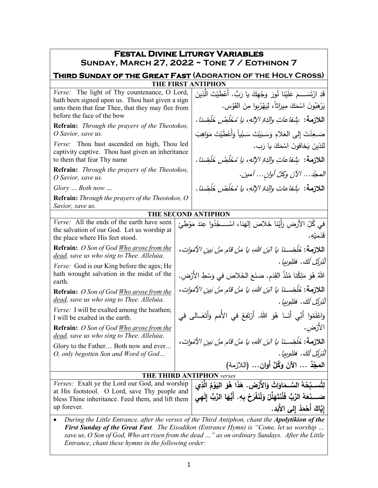| <b>FESTAL DIVINE LITURGY VARIABLES</b><br>SUNDAY, MARCH 27, 2022 ~ TONE 7 / EOTHINON 7                                                                                                                                                                                                                                                                    |                                                                                                                   |                                                                                                                                         |  |  |  |
|-----------------------------------------------------------------------------------------------------------------------------------------------------------------------------------------------------------------------------------------------------------------------------------------------------------------------------------------------------------|-------------------------------------------------------------------------------------------------------------------|-----------------------------------------------------------------------------------------------------------------------------------------|--|--|--|
| THIRD SUNDAY OF THE GREAT FAST (ADORATION OF THE HOLY CROSS)                                                                                                                                                                                                                                                                                              |                                                                                                                   |                                                                                                                                         |  |  |  |
|                                                                                                                                                                                                                                                                                                                                                           |                                                                                                                   | <b>THE FIRST ANTIPHON</b>                                                                                                               |  |  |  |
| Verse: The light of Thy countenance, O Lord,<br>hath been signed upon us. Thou hast given a sign<br>unto them that fear Thee, that they may flee from                                                                                                                                                                                                     |                                                                                                                   | قَدِ ارْتَسَـــمَ عَلَيْنا نُورَ وَجْهِكَ يا رَبُّ. أَعْطَيْتَ الَّذِينَ<br>يَرْهَبُونَ اسْمَكَ مِيرَاثاً، لِيَهْرُبِوا مِنَ الْقَوْسِ. |  |  |  |
| before the face of the bow                                                                                                                                                                                                                                                                                                                                |                                                                                                                   | اللازمة:  بِثَنفاعاتِ والدَةِ الإلهِ، يا مُخَلِّصُ خَلْضِنا .                                                                           |  |  |  |
| <b>Refrain:</b> Through the prayers of the Theotokos,<br>O Savior, save us.                                                                                                                                                                                                                                                                               |                                                                                                                   | صَـعِدْتَ إِلى العَلاءِ وَسَـبَيْتَ سَـبْياً وَأَعْطَيْتَ مَوَاهِبَ                                                                     |  |  |  |
| Verse: Thou hast ascended on high, Thou led<br>captivity captive. Thou hast given an inheritance                                                                                                                                                                                                                                                          |                                                                                                                   | للذينَ يَخافونَ اسْمَكَ يا رَب.                                                                                                         |  |  |  |
| to them that fear Thy name                                                                                                                                                                                                                                                                                                                                |                                                                                                                   | اللازمة:  بِثَنفاعاتِ والدَةِ الإلهِ، يا مُخَلِّصُ خَلْضِنا .                                                                           |  |  |  |
| <b>Refrain:</b> Through the prayers of the Theotokos,<br>O Savior, save us.                                                                                                                                                                                                                                                                               |                                                                                                                   | المحدُ الآنَ وكلَّ أوانِ آمين.                                                                                                          |  |  |  |
| $Glory$ Both now                                                                                                                                                                                                                                                                                                                                          |                                                                                                                   | اللازمة: شَفاعاتِ والَدَةِ الإلهِ، يا مُخَلِّصُ خَلْصْنا.                                                                               |  |  |  |
| <b>Refrain:</b> Through the prayers of the Theotokos, O<br>Savior, save us.                                                                                                                                                                                                                                                                               |                                                                                                                   |                                                                                                                                         |  |  |  |
|                                                                                                                                                                                                                                                                                                                                                           |                                                                                                                   | THE SECOND ANTIPHON                                                                                                                     |  |  |  |
| Verse: All the ends of the earth have seen<br>the salvation of our God. Let us worship at<br>the place where His feet stood.                                                                                                                                                                                                                              |                                                                                                                   | في كُلِّ الأرضِ رَأَيْنا خَلاصَ إلهَنا، اسْـــجُدُوا عِندَ مَوْطِئِ<br>قَدَمَبُه.                                                       |  |  |  |
| <b>Refrain:</b> O Son of God <u>Who arose from the</u><br>dead, save us who sing to Thee. Alleluia.                                                                                                                                                                                                                                                       | اللازمة: خَلَصْــنا يا البَنَ اللهِ، يا مَنْ قامَ مِنْ بَينِ الأمُولِت،                                           |                                                                                                                                         |  |  |  |
| Verse: God is our King before the ages; He<br>hath wrought salvation in the midst of the<br>earth.                                                                                                                                                                                                                                                        | لْيُرَيِّلِ لَكَ. هَللوبِيا .<br>اللهُ هُوَ مَلِكُنا مُنْذُ القِدَمِ. صَنَعَ الخَلاصَ في وَسْطِ الأَرْضِ.         |                                                                                                                                         |  |  |  |
| <b>Refrain:</b> O Son of God <u>Who arose from the</u><br>dead, save us who sing to Thee. Alleluia.                                                                                                                                                                                                                                                       | اللازمة: خَلَّضِــنا يا الَّبَنِ اللَّهِ، يا مَنْ قامَ مِنْ بَينِ الأَمُواتِ،                                     |                                                                                                                                         |  |  |  |
| Verse: I will be exalted among the heathen;<br>I will be exalted in the earth.                                                                                                                                                                                                                                                                            | لْيُرَيِّلُ لَكَ. هَللِوبيا .<br>وَاعْلَمُوا أَنِّي أَنَــا هُوَ اللَّهُ. أَرْتَفِعُ في الأُمَم وَأَتَعَــالـى في |                                                                                                                                         |  |  |  |
|                                                                                                                                                                                                                                                                                                                                                           |                                                                                                                   |                                                                                                                                         |  |  |  |
| <b>Refrain:</b> O Son of God <u>Who arose from the</u><br>dead, save us who sing to Thee. Alleluia.                                                                                                                                                                                                                                                       | الارْضِ.<br>اللازمة: خَلْصْــنا يا ابْنَ اللهِ، يا مَنْ قامَ مِنْ بَينِ الأمْواتِ،                                |                                                                                                                                         |  |  |  |
| Glory to the Father Both now and ever                                                                                                                                                                                                                                                                                                                     |                                                                                                                   | لْنُرَتِّلِ لَكَ. هَللوبيا .                                                                                                            |  |  |  |
| O, only begotten Son and Word of God                                                                                                                                                                                                                                                                                                                      |                                                                                                                   | المجْدُ … الآنَ وكُلَّ أُوانِ… (اللازمة)                                                                                                |  |  |  |
|                                                                                                                                                                                                                                                                                                                                                           |                                                                                                                   | THE THIRD ANTIPHON verses                                                                                                               |  |  |  |
| Verses: Exalt ye the Lord our God, and worship                                                                                                                                                                                                                                                                                                            |                                                                                                                   | لِتُســبّحْهُ السَّــمَاوَاتُ وَالأَرْضِ. هَذَا هُوَ اليَوْمُ الَّذِي                                                                   |  |  |  |
| at His footstool. O Lord, save Thy people and                                                                                                                                                                                                                                                                                                             |                                                                                                                   |                                                                                                                                         |  |  |  |
| bless Thine inheritance. Feed them, and lift them                                                                                                                                                                                                                                                                                                         |                                                                                                                   | صَــــذَهَهُ الرَّبُّ فَلْنَتَهَلَّلْ وَلْنَفْرَحْ بِهِ. أَيُّهَا الرَّبُّ إِلَهِي                                                      |  |  |  |
| up forever.                                                                                                                                                                                                                                                                                                                                               |                                                                                                                   | إيَّاكَ أَحْمَدُ إلى الأَبَد.                                                                                                           |  |  |  |
| During the Little Entrance, after the verses of the Third Antiphon, chant the Apolytikion of the<br><b>First Sunday of the Great Fast.</b> The Eisodikon (Entrance Hymn) is "Come, let us worship<br>save us, O Son of God, Who art risen from the dead " as on ordinary Sundays. After the Little<br>Entrance, chant these hymns in the following order: |                                                                                                                   |                                                                                                                                         |  |  |  |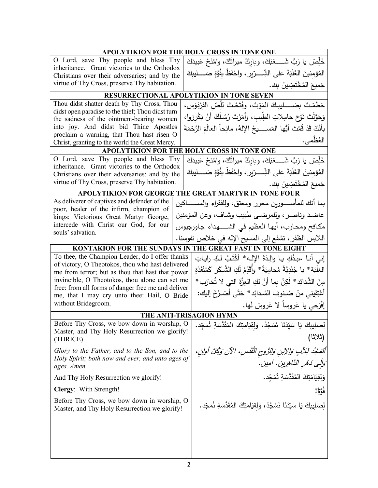| <b>APOLYTIKION FOR THE HOLY CROSS IN TONE ONE</b>                                                    |                                                                                                                           |  |  |  |  |
|------------------------------------------------------------------------------------------------------|---------------------------------------------------------------------------------------------------------------------------|--|--|--|--|
| O Lord, save Thy people and bless Thy                                                                | خَلِّصْ يا رَبُّ شَــــــغْبَكَ، وباركْ ميراثَكَ، وامْنَحْ عَبيدَكَ                                                       |  |  |  |  |
| inheritance. Grant victories to the Orthodox<br>Christians over their adversaries; and by the        | المُؤمِنينَ الغَلَبَةَ على الشِّـــرّيرِ ، واحْفَظْ بِقُوَّةٍ صَـــــليبِكَ                                               |  |  |  |  |
| virtue of Thy Cross, preserve Thy habitation.                                                        | جَميعَ المُخْتَصِّينَ بِك.                                                                                                |  |  |  |  |
|                                                                                                      | RESURRECTIONAL APOLYTIKION IN TONE SEVEN                                                                                  |  |  |  |  |
| Thou didst shatter death by Thy Cross, Thou                                                          | حَطَمْتَ بِصَــــــليبِـكَ المَوْتَ، وفَتَحْتَ لِلِّصّ الفِرْدَوْسِ،                                                      |  |  |  |  |
| didst open paradise to the thief; Thou didst turn                                                    |                                                                                                                           |  |  |  |  |
| the sadness of the ointment-bearing women                                                            | وَحَوَّلْتَ نَوْحَ حامِلاتِ الطِّيبِ، وأَمَرْتَ رُسُلَكَ أَنْ يَكْرِزوا،                                                  |  |  |  |  |
| into joy. And didst bid Thine Apostles<br>proclaim a warning, that Thou hast risen O                 | بأَنَّكَ قَدْ قُمْتَ أَيُّها المَســـــيحُ الإلهُ، مانِحاً العالَمَ الرَّحْمَةَ                                           |  |  |  |  |
| Christ, granting to the world the Great Mercy.                                                       | العُظْمى.                                                                                                                 |  |  |  |  |
|                                                                                                      | APOLYTIKION FOR THE HOLY CROSS IN TONE ONE                                                                                |  |  |  |  |
| O Lord, save Thy people and bless Thy                                                                | خَلِّصْ يا رَبُّ شَـــــعْبَكَ، وباركْ ميراثَكَ، وامْنَحْ عَبيدَكَ                                                        |  |  |  |  |
| inheritance. Grant victories to the Orthodox<br>Christians over their adversaries; and by the        | المُؤمِنينَ الغَلَبَةَ على الشِّـــرّيرِ ، واحْفَظْ بِقُوَّةٍ صَـــــليبِكَ                                               |  |  |  |  |
| virtue of Thy Cross, preserve Thy habitation.                                                        | جَميعَ الْمُخْتَصِّينَ بِك.                                                                                               |  |  |  |  |
| <b>APOLYTIKION FOR GEORGE</b>                                                                        | THE GREAT MARTYR IN TONE FOUR                                                                                             |  |  |  |  |
| As deliverer of captives and defender of the                                                         | بما أنك للمأســــورين محرر ومعتق، وللفقراء والمســـــاكين                                                                 |  |  |  |  |
| poor, healer of the infirm, champion of                                                              | عاضد وناصر ، وللمرضىي طبيب وشاف، وعن المؤمنين                                                                             |  |  |  |  |
| kings: Victorious Great Martyr George,<br>intercede with Christ our God, for our                     |                                                                                                                           |  |  |  |  |
| souls' salvation.                                                                                    | مكافح ومحارب، أيها العظيم في الشــــهداء جاورجيوس                                                                         |  |  |  |  |
|                                                                                                      | اللابس الظفر ، تشفع إلى المسيح الإله في خلاص نفوسنا.                                                                      |  |  |  |  |
|                                                                                                      | KONTAKION FOR THE SUNDAYS IN THE GREAT FAST IN TONE EIGHT                                                                 |  |  |  |  |
| To thee, the Champion Leader, do I offer thanks                                                      | إني أنـا عبدُكِ يـا والِدَةَ الإِلـه* أَكْتُبُ لـكِ رايـاتِ                                                               |  |  |  |  |
| of victory, O Theotokos, thou who hast delivered<br>me from terror; but as thou that hast that power | الغَلَبَة * يا جُنْدِيَّةً مُحامِيَةً * وأَقَدِّمُ لَكِ الشُّكْرَ كَمُنْقَذَةٍ                                            |  |  |  |  |
| invincible, O Theotokos, thou alone can set me                                                       | مِنَ الشَّدائِدِ * لَكِنْ بِما أَنَّ لَكِ الْعِزَّةِ الَّتِي لا تُحَارَبِ *                                               |  |  |  |  |
| free: from all forms of danger free me and deliver                                                   |                                                                                                                           |  |  |  |  |
| me, that I may cry unto thee: Hail, O Bride                                                          | أَعْتِقِيني مِنْ صُنوفِ الشدائِدِ * حَتَّى أَصْرُخَ إِليكِ:                                                               |  |  |  |  |
| without Bridegroom.                                                                                  | إفْرَحي يا عَروساً لا عَروسَ لَها.                                                                                        |  |  |  |  |
|                                                                                                      | <b>THE ANTI-TRISAGION HYMN</b>                                                                                            |  |  |  |  |
|                                                                                                      | لِصَلِيبِكَ يَا سَيِّدَنَا نَسْجُدُ، وَلِقِيَامَتِكَ الْمُقَدَّسَةِ نُمَجِّد. Before Thy Cross, we bow down in worship, O |  |  |  |  |
| Master, and Thy Holy Resurrection we glorify!<br>(THRICE)                                            | (ثلاثا)                                                                                                                   |  |  |  |  |
| Glory to the Father, and to the Son, and to the                                                      |                                                                                                                           |  |  |  |  |
| Holy Spirit; both now and ever, and unto ages of                                                     | أَلْمَحْدُ لِلِآبِ وَالِإِبْنِ وَالرُّوحِ الْقُدُسِ، الآنَ وَكُلَّ أُوانٍ،                                                |  |  |  |  |
| ages. Amen.                                                                                          | وَالِّي دَهْرِ الدَّاهِرِينِ. آمينِ.                                                                                      |  |  |  |  |
| And Thy Holy Resurrection we glorify!                                                                | وَلْقِيَامَتِكَ الْمُقَدَّسَةِ نُمَجِّد.                                                                                  |  |  |  |  |
| Clergy: With Strength!                                                                               | قَوَّةٌ!                                                                                                                  |  |  |  |  |
| Before Thy Cross, we bow down in worship, O                                                          | لِصَلِيبِكَ يَا سَيّدَنَا نَسْجُدُ، وَلِقِيَامَتِكَ الْمُقَدَّسَةِ نُمَجّد.                                               |  |  |  |  |
| Master, and Thy Holy Resurrection we glorify!                                                        |                                                                                                                           |  |  |  |  |
|                                                                                                      |                                                                                                                           |  |  |  |  |
|                                                                                                      |                                                                                                                           |  |  |  |  |
|                                                                                                      |                                                                                                                           |  |  |  |  |
|                                                                                                      |                                                                                                                           |  |  |  |  |
|                                                                                                      |                                                                                                                           |  |  |  |  |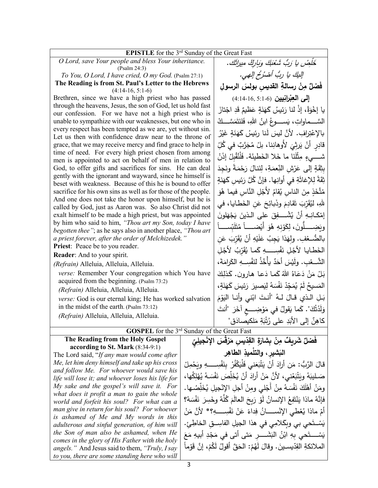| <b>EPISTLE</b> for the 3 <sup>rd</sup> Sunday of the Great Fast                                                        |                                                               |                                                                                   |  |  |  |  |
|------------------------------------------------------------------------------------------------------------------------|---------------------------------------------------------------|-----------------------------------------------------------------------------------|--|--|--|--|
| O Lord, save Your people and bless Your inheritance.                                                                   |                                                               |                                                                                   |  |  |  |  |
| (Psalm 24:3)                                                                                                           | خَلِصْ يا رَبُّ شَعْبَكَ وَبَارِكْ مِيراثَك.                  |                                                                                   |  |  |  |  |
| To You, O Lord, I have cried, O my God. (Psalm 27:1)                                                                   | إليكَ يا ربُّ أَصْرُخُ إلهي.                                  |                                                                                   |  |  |  |  |
| The Reading is from St. Paul's Letter to the Hebrews                                                                   |                                                               |                                                                                   |  |  |  |  |
| $(4:14-16, 5:1-6)$                                                                                                     |                                                               | فَصْلٌ مِنْ رِسالةِ القديس بولسَ الرسولِ                                          |  |  |  |  |
| Brethren, since we have a high priest who has passed                                                                   |                                                               | إلى العِبْرانِيين (6-11-14.16 )                                                   |  |  |  |  |
| through the heavens, Jesus, the son of God, let us hold fast                                                           |                                                               | يا إِخْوَةُ، إِذْ لَنا رَئِيسُ كَهَنَةٍ عَظْيمٌ قَدِ اجْتازَ                      |  |  |  |  |
| our confession. For we have not a high priest who is                                                                   |                                                               |                                                                                   |  |  |  |  |
| unable to sympathize with our weaknesses, but one who in                                                               | السَّـــماواتِ، يَســـــوعُ ابنُ اللهِ، فَلنَتَمَسَّـــكُ     |                                                                                   |  |  |  |  |
| every respect has been tempted as we are, yet without sin.                                                             | بالإعْتِرافِ. لأنَّ ليسَ لَنا رئِيسُ كَهَنَةٍ غَيْرُ          |                                                                                   |  |  |  |  |
| Let us then with confidence draw near to the throne of<br>grace, that we may receive mercy and find grace to help in   | قادِر أَنْ يَرِثِيَ لأُوهانِنا، بلْ مُجَرَّبٌ في كُلِّ        |                                                                                   |  |  |  |  |
| time of need. For every high priest chosen from among                                                                  |                                                               |                                                                                   |  |  |  |  |
| men is appointed to act on behalf of men in relation to                                                                | شــــيءٍ مِثْلَنَا ما خَلا الخَطيئَة. فَلْنُقْبِلْ إِذَنْ     |                                                                                   |  |  |  |  |
| God, to offer gifts and sacrifices for sins. He can deal                                                               | بِثِقَةٍ إِلَى عَرْشِ النِّعمَةِ، لِنَنالَ رَحْمَةً ونَجِدَ   |                                                                                   |  |  |  |  |
| gently with the ignorant and wayward, since he himself is<br>beset with weakness. Because of this he is bound to offer | نِقَةً لِلإِغاثَةِ في أُوانِها. فإنَّ كُلَّ رَئِيسٍ كَهَٰذَةٍ |                                                                                   |  |  |  |  |
| sacrifice for his own sins as well as for those of the people.                                                         |                                                               | مُتَّخَذٍ مِنَ الناسِ يُقامُ لأَجْلِ النَّاسِ فيما هُوَ                           |  |  |  |  |
| And one does not take the honor upon himself, but he is<br>called by God, just as Aaron was. So also Christ did not    |                                                               | لَّهِ، لَيُقَرِّبَ تَقادِمَ وذَبائِحَ عَنِ الْخَطَايا، في                         |  |  |  |  |
| exalt himself to be made a high priest, but was appointed                                                              |                                                               | إِمْكانِهِ أَنْ يُشْهِقَ على الذينَ يَجْهَلُونَ                                   |  |  |  |  |
| by him who said to him, "Thou art my Son, today I have                                                                 |                                                               | ويَضِــــــلّونَ، لِكَوْنِهِ هُوَ أَيْضـــــــاً مُتَلَبّســـــاً                 |  |  |  |  |
| <i>begotten thee"</i> ; as he says also in another place, "Thou art                                                    |                                                               |                                                                                   |  |  |  |  |
| a priest forever, after the order of Melchizedek."<br>Priest: Peace be to you reader.                                  |                                                               | بالضُّـعْفِ. ولهَذا يَجِبُ عَلَيْهِ أَنْ يُقَرِّبَ عَن                            |  |  |  |  |
| Reader: And to your spirit.                                                                                            |                                                               | الخَطايا لأَجْلِ نَفْسِــــهِ كَما يُقَرّبُ لأَجْلِ                               |  |  |  |  |
|                                                                                                                        |                                                               | الشَّــعْب. ولَيْسَ أَحَدٌ يأْخُذُ لنَفْسِــهِ الكَرامَةَ،                        |  |  |  |  |
| (Refrain) Alleluia, Alleluia, Alleluia.                                                                                |                                                               |                                                                                   |  |  |  |  |
| verse: Remember Your congregation which You have<br>acquired from the beginning. (Psalm 73:2)                          | بَلْ مَنْ دَعَاهُ اللهُ كَما دَعا هارون. كَذلِكَ              |                                                                                   |  |  |  |  |
| (Refrain) Alleluia, Alleluia, Alleluia.                                                                                | المَسيحُ لَمْ يُمَجِّدْ نَفْسَهُ لِيَصيرَ رَئِيسَ كَهَنَةٍ،   |                                                                                   |  |  |  |  |
| verse: God is our eternal king; He has worked salvation                                                                |                                                               | بَـلِ الَّذي قـالَ لـهُ "أَنـتَ ابْني وأنـا اليَوْمَ                              |  |  |  |  |
| in the midst of the earth. (Psalm 73:12)                                                                               |                                                               |                                                                                   |  |  |  |  |
| (Refrain) Alleluia, Alleluia, Alleluia.                                                                                | وَلَدْتُكَ". كَما يَقولُ في مَوْضِــــع آخَرَ  "أنتَ          |                                                                                   |  |  |  |  |
|                                                                                                                        |                                                               | كاهِنٌ إِلَى الأَبَدِ على رُتْبَةِ مَلكيصَادَقِ"                                  |  |  |  |  |
| <b>GOSPEL</b> for the 3 <sup>rd</sup> Sunday of the Great Fast                                                         |                                                               |                                                                                   |  |  |  |  |
| The Reading from the Holy Gospel                                                                                       |                                                               | فَصْلٌ شَرِيفٌ مِنْ بِشَارَةِ القِدّيسِ مَرْقَسَ الإِنْجِيلِيِّ                   |  |  |  |  |
| according to St. Mark (8:34-9:1)                                                                                       |                                                               | النشير، والتلميذِ الطاهِر                                                         |  |  |  |  |
| The Lord said, "If any man would come after<br>Me, let him deny himself and take up his cross                          |                                                               |                                                                                   |  |  |  |  |
| and follow Me. For whoever would save his                                                                              |                                                               | قالَ الرَّبُّ: مَن أَرادَ أَنْ يَتْبَعَني فَلْيَكْفُرْ بِنَفْسِــــهِ وِيَحْمِلْ  |  |  |  |  |
| life will lose it; and whoever loses his life for                                                                      |                                                               | صَـليبَهُ ويَتْبَعْني، لأنَّ مَنْ أَرادَ أنْ يُخَلِّصَ نَفْسَهُ يُهْلِكُها،       |  |  |  |  |
| My sake and the gospel's will save it. For                                                                             |                                                               | ومَنْ أَهْلَكَ نَفْسَهُ مِنْ أَجْلَى ومِنْ أَجلِ الإِنْجِيلِ يُخَلِّصُها.         |  |  |  |  |
| what does it profit a man to gain the whole                                                                            |                                                               | فإِنَّهُ ماذا يَنْتَفِعُ الإِنسانُ لَوْ رَبِحَ العالَمَ كُلَّهُ وخَسِرَ نَفْسَهُ؟ |  |  |  |  |
| world and forfeit his soul? For what can a<br>man give in return for his soul? For whoever                             |                                                               |                                                                                   |  |  |  |  |
| is ashamed of Me and My words in this                                                                                  |                                                               | أَمْ ماذا يُعْطَى الإِنْســــانُ فِداءً عَنْ نَفْسِــــهِ؟* لأنَّ مَنْ            |  |  |  |  |
| adulterous and sinful generation, of him will                                                                          | يَسْتَحي بي وبِكَلامِي في هذا الجيلِ الفاسِــق الخاطِئِ.      |                                                                                   |  |  |  |  |
| the Son of man also be ashamed, when He<br>comes in the glory of His Father with the holy                              |                                                               | يَسْـــــتَحى بِهِ ابْنُ البَشَـــــر  مَتى أتى في مَجْدِ أبيهِ مَعَ              |  |  |  |  |
| angels." And Jesus said to them, "Truly, I say                                                                         |                                                               | الملائكةِ القِدّيسـينَ. وقالَ لَهُمْ: الحَقَّ أقولُ لَكُمْ، إنَّ قَوْماً          |  |  |  |  |
| to you, there are some standing here who will                                                                          |                                                               |                                                                                   |  |  |  |  |